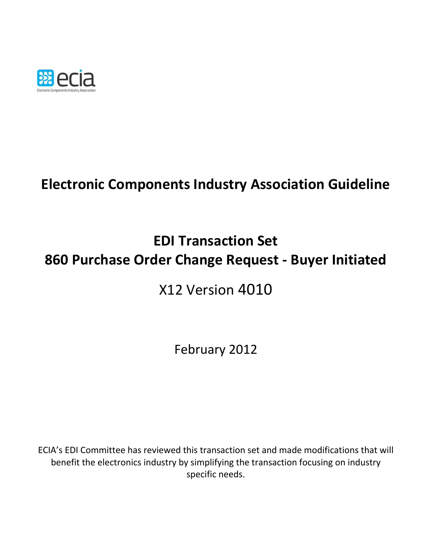

# **Electronic Components Industry Association Guideline**

# **EDI Transaction Set 860 Purchase Order Change Request - Buyer Initiated**

## X12 Version 4010

February 2012

ECIA's EDI Committee has reviewed this transaction set and made modifications that will benefit the electronics industry by simplifying the transaction focusing on industry specific needs.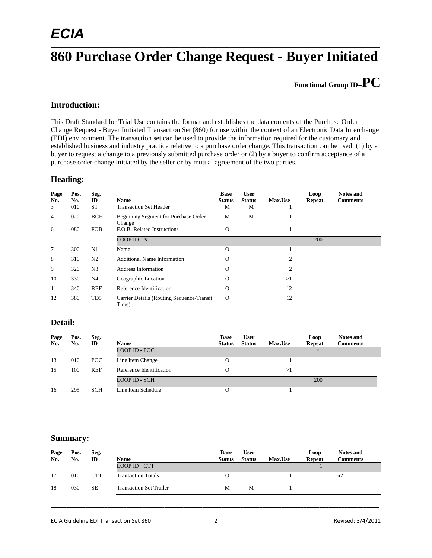## *ECIA*

### \_\_\_\_\_\_\_\_\_\_\_\_\_\_\_\_\_\_\_\_\_\_\_\_\_\_\_\_\_\_\_\_\_\_\_\_\_\_\_\_\_\_\_\_\_\_\_\_\_\_\_\_\_\_\_\_\_\_\_\_\_\_\_\_\_\_\_\_\_\_\_\_\_\_\_\_\_\_\_\_\_\_\_\_\_\_\_\_\_\_\_\_\_\_\_\_\_\_\_\_\_\_\_\_\_ **860 Purchase Order Change Request - Buyer Initiated**

**Functional Group ID=PC**

### **Introduction:**

This Draft Standard for Trial Use contains the format and establishes the data contents of the Purchase Order Change Request - Buyer Initiated Transaction Set (860) for use within the context of an Electronic Data Interchange (EDI) environment. The transaction set can be used to provide the information required for the customary and established business and industry practice relative to a purchase order change. This transaction can be used: (1) by a buyer to request a change to a previously submitted purchase order or (2) by a buyer to confirm acceptance of a purchase order change initiated by the seller or by mutual agreement of the two parties.

#### **Heading:**

| Page<br><u>No.</u><br>$\overline{3}$ | Pos.<br><u>No.</u><br>010 | Seg.<br>$rac{\text{ID}}{\text{ST}}$ | Name<br><b>Transaction Set Header</b>               | <b>Base</b><br><b>Status</b><br>М | <b>User</b><br><b>Status</b><br>M | <b>Max.Use</b> | Loop<br><b>Repeat</b> | <b>Notes and</b><br><b>Comments</b> |
|--------------------------------------|---------------------------|-------------------------------------|-----------------------------------------------------|-----------------------------------|-----------------------------------|----------------|-----------------------|-------------------------------------|
| 4                                    | 020                       | <b>BCH</b>                          | Beginning Segment for Purchase Order<br>Change      | M                                 | M                                 | л              |                       |                                     |
| 6                                    | 080                       | <b>FOB</b>                          | F.O.B. Related Instructions                         | $\Omega$                          |                                   | 1              |                       |                                     |
|                                      |                           |                                     | <b>LOOP ID - N1</b>                                 |                                   |                                   |                | 200                   |                                     |
| 7                                    | 300                       | N1                                  | Name                                                | $\Omega$                          |                                   | ш              |                       |                                     |
| 8                                    | 310                       | N <sub>2</sub>                      | Additional Name Information                         | $\Omega$                          |                                   | $\overline{2}$ |                       |                                     |
| 9                                    | 320                       | N <sub>3</sub>                      | Address Information                                 | $\Omega$                          |                                   | $\overline{c}$ |                       |                                     |
| 10                                   | 330                       | N4                                  | Geographic Location                                 | $\Omega$                          |                                   | >1             |                       |                                     |
| 11                                   | 340                       | <b>REF</b>                          | Reference Identification                            | $\Omega$                          |                                   | 12             |                       |                                     |
| 12                                   | 380                       | T <sub>D5</sub>                     | Carrier Details (Routing Sequence/Transit)<br>Time) | $\Omega$                          |                                   | 12             |                       |                                     |

#### **Detail:**

| Page<br>No. | Pos.<br><u>No.</u> | Seg.<br>$\mathbf{D}$ | Name                     | <b>Base</b><br><b>Status</b> | <b>User</b><br><b>Status</b> | <b>Max.Use</b> | Loop<br><b>Repeat</b> | <b>Notes and</b><br><b>Comments</b> |
|-------------|--------------------|----------------------|--------------------------|------------------------------|------------------------------|----------------|-----------------------|-------------------------------------|
|             |                    |                      | <b>LOOP ID - POC</b>     |                              |                              |                | >1                    |                                     |
| 13          | 010                | POC                  | Line Item Change         | O                            |                              |                |                       |                                     |
| 15          | 100                | <b>REF</b>           | Reference Identification | О                            |                              | >1             |                       |                                     |
|             |                    |                      | <b>LOOP ID - SCH</b>     |                              |                              |                | 200                   |                                     |
| 16          | 295                | <b>SCH</b>           | Line Item Schedule       | O                            |                              |                |                       |                                     |
|             |                    |                      |                          |                              |                              |                |                       |                                     |

#### **Summary:**

| Page<br>No. | Pos.<br>No. | Seg.<br>$\mathbf{D}$ | Name                           | <b>Base</b><br><b>Status</b> | <b>User</b><br><b>Status</b> | <b>Max.Use</b> | Loop<br><b>Repeat</b> | <b>Notes and</b><br><b>Comments</b> |
|-------------|-------------|----------------------|--------------------------------|------------------------------|------------------------------|----------------|-----------------------|-------------------------------------|
|             |             |                      | LOOP ID - CTT                  |                              |                              |                |                       |                                     |
| 17          | 010         | <b>CTT</b>           | <b>Transaction Totals</b>      | 0                            |                              |                |                       | n2                                  |
| 18          | 030         | <b>SE</b>            | <b>Transaction Set Trailer</b> | М                            | M                            |                |                       |                                     |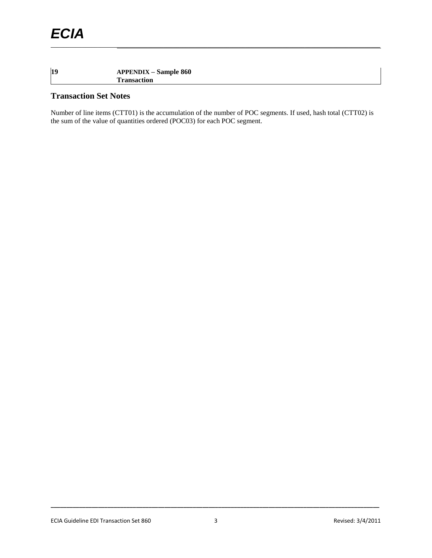### **19 APPENDIX – Sample 860 Transaction**

### **Transaction Set Notes**

Number of line items (CTT01) is the accumulation of the number of POC segments. If used, hash total (CTT02) is the sum of the value of quantities ordered (POC03) for each POC segment.

\_\_\_\_\_\_\_\_\_\_\_\_\_\_\_\_\_\_\_\_\_\_\_\_\_\_\_\_\_\_\_\_\_\_\_\_\_\_\_\_\_\_\_\_\_\_\_\_\_\_\_\_\_\_\_\_\_\_\_\_\_\_\_\_\_\_\_\_\_\_\_\_\_\_\_\_\_\_\_\_\_\_\_\_\_\_\_\_\_\_\_\_\_\_\_\_\_\_\_\_\_\_\_\_\_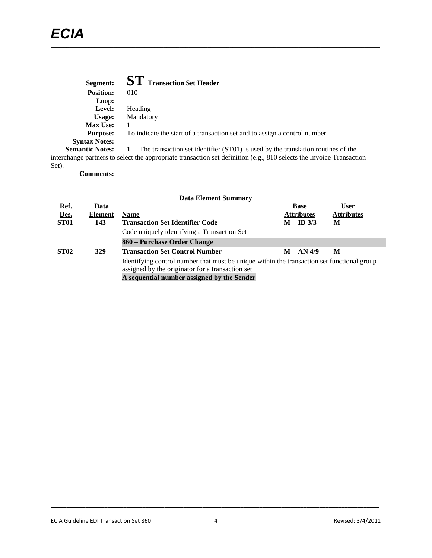| Segment:               | <b>ST</b> Transaction Set Header                                                                                     |
|------------------------|----------------------------------------------------------------------------------------------------------------------|
| <b>Position:</b>       | 010                                                                                                                  |
| Loop:                  |                                                                                                                      |
| Level:                 | Heading                                                                                                              |
| Usage:                 | Mandatory                                                                                                            |
| <b>Max Use:</b>        |                                                                                                                      |
| <b>Purpose:</b>        | To indicate the start of a transaction set and to assign a control number                                            |
| <b>Syntax Notes:</b>   |                                                                                                                      |
| <b>Semantic Notes:</b> | The transaction set identifier (ST01) is used by the translation routines of the                                     |
|                        | interchange partners to select the appropriate transaction set definition (e.g., 810 selects the Invoice Transaction |

Set).

**Comments:**

|             |         | <b>Data Element Summary</b>                                                                                                                                                                  |   |                                        |      |
|-------------|---------|----------------------------------------------------------------------------------------------------------------------------------------------------------------------------------------------|---|----------------------------------------|------|
| Ref.        | Data    |                                                                                                                                                                                              |   | <b>Base</b>                            | User |
| Des.        | Element | <b>Name</b>                                                                                                                                                                                  |   | <b>Attributes</b><br><b>Attributes</b> |      |
| <b>ST01</b> | 143     | <b>Transaction Set Identifier Code</b>                                                                                                                                                       | М | ID <sub>3/3</sub>                      | М    |
|             |         | Code uniquely identifying a Transaction Set                                                                                                                                                  |   |                                        |      |
|             |         | 860 – Purchase Order Change                                                                                                                                                                  |   |                                        |      |
| <b>ST02</b> | 329     | <b>Transaction Set Control Number</b>                                                                                                                                                        | М | AN 4/9                                 | M    |
|             |         | Identifying control number that must be unique within the transaction set functional group<br>assigned by the originator for a transaction set<br>A sequential number assigned by the Sender |   |                                        |      |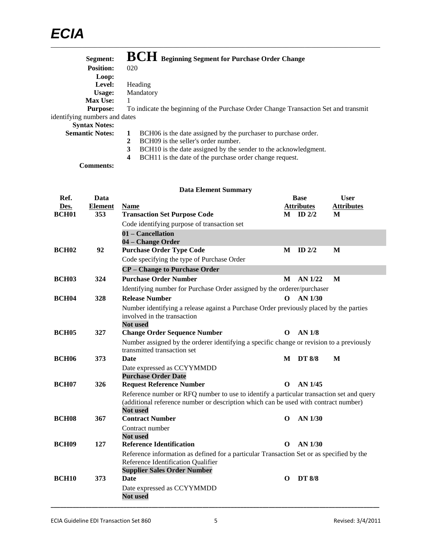| Segment:                      | <b>BCH</b> Beginning Segment for Purchase Order Change                              |
|-------------------------------|-------------------------------------------------------------------------------------|
| <b>Position:</b>              | 020                                                                                 |
| Loop:                         |                                                                                     |
| Level:                        | Heading                                                                             |
| Usage:                        | Mandatory                                                                           |
| <b>Max Use:</b>               |                                                                                     |
| <b>Purpose:</b>               | To indicate the beginning of the Purchase Order Change Transaction Set and transmit |
| identifying numbers and dates |                                                                                     |
| <b>Syntax Notes:</b>          |                                                                                     |
| <b>Semantic Notes:</b>        | BCH06 is the date assigned by the purchaser to purchase order.<br>1                 |
|                               | BCH09 is the seller's order number.<br>2                                            |
|                               | 3<br>BCH10 is the date assigned by the sender to the acknowledgment.                |

**4** BCH11 is the date of the purchase order change request.

**Comments:**

|                   |                | <b>Data Element Summary</b>                                                                                                                                                                        |          |                   |                   |
|-------------------|----------------|----------------------------------------------------------------------------------------------------------------------------------------------------------------------------------------------------|----------|-------------------|-------------------|
| Ref.              | Data           |                                                                                                                                                                                                    |          | <b>Base</b>       | <b>User</b>       |
| Des.              | <b>Element</b> | <b>Name</b>                                                                                                                                                                                        |          | <b>Attributes</b> | <b>Attributes</b> |
| BCH <sub>01</sub> | 353            | <b>Transaction Set Purpose Code</b>                                                                                                                                                                |          | $M$ ID $2/2$      | M                 |
|                   |                | Code identifying purpose of transaction set                                                                                                                                                        |          |                   |                   |
|                   |                | 01 – Cancellation<br>04 - Change Order                                                                                                                                                             |          |                   |                   |
| <b>BCH02</b>      | 92             | <b>Purchase Order Type Code</b>                                                                                                                                                                    | М        | ID $2/2$          | M                 |
|                   |                | Code specifying the type of Purchase Order                                                                                                                                                         |          |                   |                   |
|                   |                | <b>CP</b> – Change to Purchase Order                                                                                                                                                               |          |                   |                   |
| <b>BCH03</b>      | 324            | <b>Purchase Order Number</b>                                                                                                                                                                       | М        | AN 1/22           | $\mathbf{M}$      |
|                   |                | Identifying number for Purchase Order assigned by the orderer/purchaser                                                                                                                            |          |                   |                   |
| <b>BCH04</b>      | 328            | <b>Release Number</b>                                                                                                                                                                              | $\Omega$ | $AN$ 1/30         |                   |
|                   |                | Number identifying a release against a Purchase Order previously placed by the parties<br>involved in the transaction<br><b>Not used</b>                                                           |          |                   |                   |
| <b>BCH05</b>      | 327            | <b>Change Order Sequence Number</b>                                                                                                                                                                | 0        | AN <sub>1/8</sub> |                   |
|                   |                | Number assigned by the orderer identifying a specific change or revision to a previously<br>transmitted transaction set                                                                            |          |                   |                   |
| <b>BCH06</b>      | 373            | <b>Date</b>                                                                                                                                                                                        | M        | <b>DT 8/8</b>     | M                 |
|                   |                | Date expressed as CCYYMMDD<br><b>Purchase Order Date</b>                                                                                                                                           |          |                   |                   |
| <b>BCH07</b>      | 326            | <b>Request Reference Number</b>                                                                                                                                                                    | O        | AN 1/45           |                   |
|                   |                | Reference number or RFQ number to use to identify a particular transaction set and query<br>(additional reference number or description which can be used with contract number)<br><b>Not used</b> |          |                   |                   |
| <b>BCH08</b>      | 367            | <b>Contract Number</b>                                                                                                                                                                             | O        | AN 1/30           |                   |
|                   |                | Contract number<br>Not used                                                                                                                                                                        |          |                   |                   |
| <b>BCH09</b>      | 127            | <b>Reference Identification</b>                                                                                                                                                                    | O        | AN 1/30           |                   |
|                   |                | Reference information as defined for a particular Transaction Set or as specified by the<br>Reference Identification Qualifier<br><b>Supplier Sales Order Number</b>                               |          |                   |                   |
| <b>BCH10</b>      | 373            | Date                                                                                                                                                                                               | O        | <b>DT 8/8</b>     |                   |
|                   |                | Date expressed as CCYYMMDD<br><b>Not used</b>                                                                                                                                                      |          |                   |                   |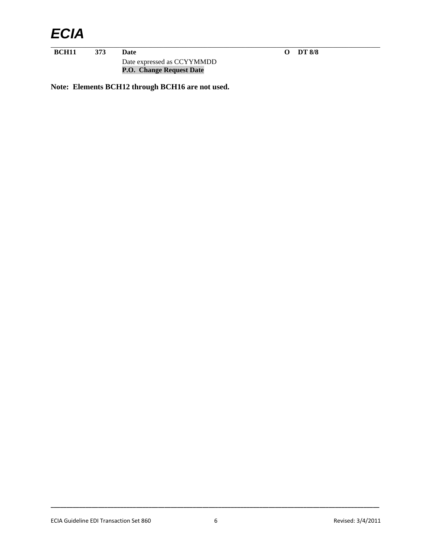## *ECIA*

\_\_\_\_\_\_\_\_\_\_\_\_\_\_\_\_\_\_\_\_\_\_\_\_\_\_\_\_\_\_\_\_\_\_\_\_\_\_\_\_\_\_\_\_\_\_\_\_\_\_\_\_\_\_\_\_\_\_\_\_\_\_\_\_\_\_\_\_\_\_\_\_\_\_\_\_\_\_\_\_\_\_\_\_\_\_\_\_\_\_\_\_\_\_\_\_\_\_\_\_\_\_\_\_\_ **BCH11 373 Date O DT 8/8**

Date expressed as CCYYMMDD **P.O. Change Request Date**

**Note: Elements BCH12 through BCH16 are not used.**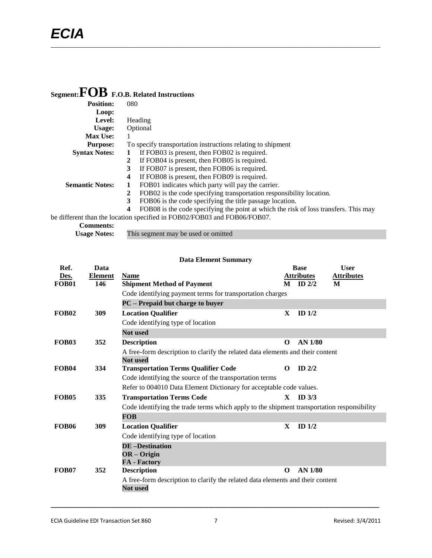## **Segment:FOB F.O.B. Related Instructions**

| <b>Position:</b>       | 080                                                                                       |
|------------------------|-------------------------------------------------------------------------------------------|
| Loop:                  |                                                                                           |
| Level:                 | Heading                                                                                   |
| Usage:                 | Optional                                                                                  |
| <b>Max Use:</b>        |                                                                                           |
| <b>Purpose:</b>        | To specify transportation instructions relating to shipment                               |
| <b>Syntax Notes:</b>   | If FOB03 is present, then FOB02 is required.<br>1                                         |
|                        | If FOB04 is present, then FOB05 is required.<br>2                                         |
|                        | If FOB07 is present, then FOB06 is required.<br>3                                         |
|                        | If FOB08 is present, then FOB09 is required.<br>4                                         |
| <b>Semantic Notes:</b> | FOB01 indicates which party will pay the carrier.                                         |
|                        | FOB02 is the code specifying transportation responsibility location.<br>2                 |
|                        | 3<br>FOB06 is the code specifying the title passage location.                             |
|                        | FOB08 is the code specifying the point at which the risk of loss transfers. This may<br>4 |
|                        | be different than the location specified in FOB02/FOB03 and FOB06/FOB07.                  |
| <b>Comments:</b>       |                                                                                           |

| $\sim$              |                                     |
|---------------------|-------------------------------------|
| <b>Usage Notes:</b> | This segment may be used or omitted |

|              |                | <b>Data Element Summary</b>                                                                |              |                   |                   |
|--------------|----------------|--------------------------------------------------------------------------------------------|--------------|-------------------|-------------------|
| Ref.         | Data           |                                                                                            |              | <b>Base</b>       | <b>User</b>       |
| Des.         | <b>Element</b> | <b>Name</b>                                                                                |              | <b>Attributes</b> | <b>Attributes</b> |
| <b>FOB01</b> | 146            | <b>Shipment Method of Payment</b>                                                          | M            | $ID$ 2/2          | M                 |
|              |                | Code identifying payment terms for transportation charges                                  |              |                   |                   |
|              |                | PC - Prepaid but charge to buyer                                                           |              |                   |                   |
| <b>FOB02</b> | 309            | <b>Location Qualifier</b>                                                                  | X            | ID $1/2$          |                   |
|              |                | Code identifying type of location                                                          |              |                   |                   |
|              |                | Not used                                                                                   |              |                   |                   |
| <b>FOB03</b> | 352            | <b>Description</b>                                                                         | $\Omega$     | <b>AN 1/80</b>    |                   |
|              |                | A free-form description to clarify the related data elements and their content             |              |                   |                   |
|              |                | <b>Not</b> used                                                                            |              |                   |                   |
| <b>FOB04</b> | 334            | <b>Transportation Terms Qualifier Code</b>                                                 | $\Omega$     | $ID$ $2/2$        |                   |
|              |                | Code identifying the source of the transportation terms                                    |              |                   |                   |
|              |                | Refer to 004010 Data Element Dictionary for acceptable code values.                        |              |                   |                   |
| <b>FOB05</b> | 335            | <b>Transportation Terms Code</b>                                                           | $\mathbf{X}$ | ID <sub>3/3</sub> |                   |
|              |                | Code identifying the trade terms which apply to the shipment transportation responsibility |              |                   |                   |
|              |                | <b>FOB</b>                                                                                 |              |                   |                   |
| <b>FOB06</b> | 309            | <b>Location Qualifier</b>                                                                  | X            | ID $1/2$          |                   |
|              |                | Code identifying type of location                                                          |              |                   |                   |
|              |                | <b>DE-Destination</b>                                                                      |              |                   |                   |
|              |                | $OR - Origin$                                                                              |              |                   |                   |
|              |                | <b>FA</b> - Factory                                                                        |              |                   |                   |
| <b>FOB07</b> | 352            | <b>Description</b>                                                                         | $\mathbf 0$  | <b>AN 1/80</b>    |                   |
|              |                | A free-form description to clarify the related data elements and their content             |              |                   |                   |
|              |                | Not used                                                                                   |              |                   |                   |
|              |                |                                                                                            |              |                   |                   |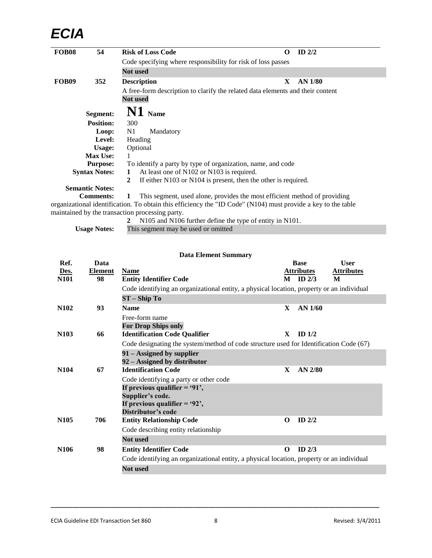## *ECIA*

| <b>FOB08</b>      | 54                     | <b>Risk of Loss Code</b>                                                                                      | O | ID $2/2$ |  |
|-------------------|------------------------|---------------------------------------------------------------------------------------------------------------|---|----------|--|
|                   |                        | Code specifying where responsibility for risk of loss passes                                                  |   |          |  |
|                   |                        | <b>Not used</b>                                                                                               |   |          |  |
| FOB <sub>09</sub> | 352                    | <b>Description</b>                                                                                            | X | AN 1/80  |  |
|                   |                        | A free-form description to clarify the related data elements and their content<br><b>Not used</b>             |   |          |  |
|                   | <b>Segment:</b>        | N1 Name                                                                                                       |   |          |  |
|                   | <b>Position:</b>       | 300                                                                                                           |   |          |  |
|                   | Loop:                  | N1<br>Mandatory                                                                                               |   |          |  |
|                   | Level:                 | Heading                                                                                                       |   |          |  |
|                   | Usage:                 | Optional                                                                                                      |   |          |  |
|                   | <b>Max Use:</b>        |                                                                                                               |   |          |  |
|                   | <b>Purpose:</b>        | To identify a party by type of organization, name, and code                                                   |   |          |  |
|                   | <b>Syntax Notes:</b>   | At least one of N102 or N103 is required.<br>1                                                                |   |          |  |
|                   |                        | If either N103 or N104 is present, then the other is required.<br>2                                           |   |          |  |
|                   | <b>Semantic Notes:</b> |                                                                                                               |   |          |  |
|                   | <b>Comments:</b>       | This segment, used alone, provides the most efficient method of providing<br>1                                |   |          |  |
|                   |                        | organizational identification. To obtain this efficiency the "ID Code" (N104) must provide a key to the table |   |          |  |
|                   |                        | maintained by the transaction processing party.                                                               |   |          |  |

|                     | 2 N105 and N106 further define the type of entity in N101. |
|---------------------|------------------------------------------------------------|
| <b>Usage Notes:</b> | This segment may be used or omitted                        |

| <b>Data Element Summary</b> |                      |                                                                                           |          |                                 |                        |  |
|-----------------------------|----------------------|-------------------------------------------------------------------------------------------|----------|---------------------------------|------------------------|--|
| Ref.                        | Data                 |                                                                                           |          | <b>Base</b>                     | <b>User</b>            |  |
| Des.<br><b>N101</b>         | <b>Element</b><br>98 | <b>Name</b><br><b>Entity Identifier Code</b>                                              |          | <b>Attributes</b><br>$M$ ID 2/3 | <b>Attributes</b><br>M |  |
|                             |                      | Code identifying an organizational entity, a physical location, property or an individual |          |                                 |                        |  |
|                             |                      | $ST - ShipTo$                                                                             |          |                                 |                        |  |
| N <sub>10</sub> 2           | 93                   | <b>Name</b>                                                                               | X        | $AN$ 1/60                       |                        |  |
|                             |                      | Free-form name<br><b>For Drop Ships only</b>                                              |          |                                 |                        |  |
| N <sub>103</sub>            | 66                   | <b>Identification Code Qualifier</b>                                                      | X        | ID $1/2$                        |                        |  |
|                             |                      | Code designating the system/method of code structure used for Identification Code (67)    |          |                                 |                        |  |
|                             |                      | 91 – Assigned by supplier<br>92 – Assigned by distributor                                 |          |                                 |                        |  |
| N <sub>104</sub>            | 67                   | <b>Identification Code</b>                                                                | X        | $AN$ 2/80                       |                        |  |
|                             |                      | Code identifying a party or other code                                                    |          |                                 |                        |  |
|                             |                      | If previous qualifier $=$ '91',                                                           |          |                                 |                        |  |
|                             |                      | Supplier's code.                                                                          |          |                                 |                        |  |
|                             |                      | If previous qualifier $=$ '92',                                                           |          |                                 |                        |  |
| N <sub>105</sub>            | 706                  | Distributor's code                                                                        | $\Omega$ | $ID$ $2/2$                      |                        |  |
|                             |                      | <b>Entity Relationship Code</b><br>Code describing entity relationship                    |          |                                 |                        |  |
|                             |                      | <b>Not used</b>                                                                           |          |                                 |                        |  |
| N <sub>106</sub>            | 98                   | <b>Entity Identifier Code</b>                                                             | $\Omega$ | ID $2/3$                        |                        |  |
|                             |                      | Code identifying an organizational entity, a physical location, property or an individual |          |                                 |                        |  |
|                             |                      | <b>Not used</b>                                                                           |          |                                 |                        |  |
|                             |                      |                                                                                           |          |                                 |                        |  |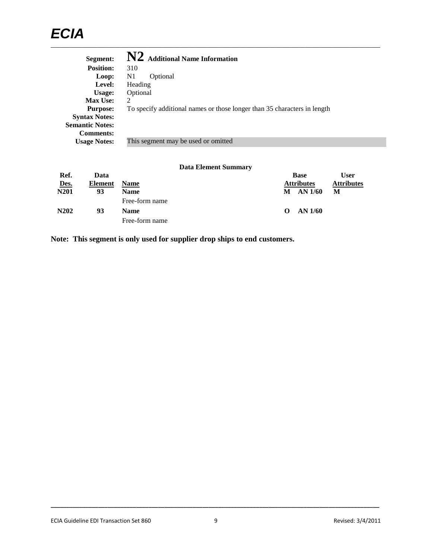## *ECIA* \_\_\_\_\_\_\_\_\_\_\_\_\_\_\_\_\_\_\_\_\_\_\_\_\_\_\_\_\_\_\_\_\_\_\_\_\_\_\_\_\_\_\_\_\_\_\_\_\_\_\_\_\_\_\_\_\_\_\_\_\_\_\_\_\_\_\_\_\_\_\_\_\_\_\_\_\_\_\_\_\_\_\_\_\_\_\_\_\_\_\_\_\_\_\_\_\_\_\_\_\_\_\_\_\_

| Segment:               | N2 Additional Name Information                                           |
|------------------------|--------------------------------------------------------------------------|
| <b>Position:</b>       | 310                                                                      |
| Loop:                  | N1<br>Optional                                                           |
| Level:                 | Heading                                                                  |
| Usage:                 | Optional                                                                 |
| <b>Max Use:</b>        | $\overline{c}$                                                           |
| <b>Purpose:</b>        | To specify additional names or those longer than 35 characters in length |
| <b>Syntax Notes:</b>   |                                                                          |
| <b>Semantic Notes:</b> |                                                                          |
| <b>Comments:</b>       |                                                                          |
| <b>Usage Notes:</b>    | This segment may be used or omitted                                      |

### **Data Element Summary**

| Ref.                          | Data           |                |                   | <b>Base</b>       | User              |
|-------------------------------|----------------|----------------|-------------------|-------------------|-------------------|
| Des.                          | <b>Element</b> | <b>Name</b>    |                   | <b>Attributes</b> | <b>Attributes</b> |
| N <sub>201</sub>              | 93             | <b>Name</b>    | M                 | AN $1/60$         | М                 |
|                               |                | Free-form name |                   |                   |                   |
| N <sub>2</sub> 0 <sub>2</sub> | 93             | <b>Name</b>    | $\mathbf{\Omega}$ | AN 1/60           |                   |
|                               |                | Free-form name |                   |                   |                   |

**Note: This segment is only used for supplier drop ships to end customers.**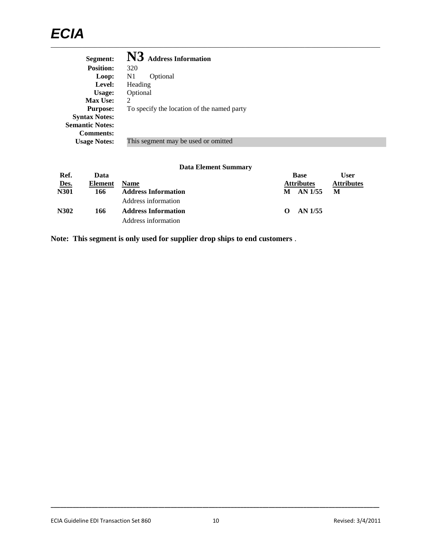## *ECIA* \_\_\_\_\_\_\_\_\_\_\_\_\_\_\_\_\_\_\_\_\_\_\_\_\_\_\_\_\_\_\_\_\_\_\_\_\_\_\_\_\_\_\_\_\_\_\_\_\_\_\_\_\_\_\_\_\_\_\_\_\_\_\_\_\_\_\_\_\_\_\_\_\_\_\_\_\_\_\_\_\_\_\_\_\_\_\_\_\_\_\_\_\_\_\_\_\_\_\_\_\_\_\_\_\_

| Segment:               | N3 Address Information                     |
|------------------------|--------------------------------------------|
| <b>Position:</b>       | 320                                        |
| Loop:                  | N1<br>Optional                             |
| Level:                 | Heading                                    |
| Usage:                 | Optional                                   |
| <b>Max Use:</b>        | 2                                          |
| <b>Purpose:</b>        | To specify the location of the named party |
| <b>Syntax Notes:</b>   |                                            |
| <b>Semantic Notes:</b> |                                            |
| <b>Comments:</b>       |                                            |
| <b>Usage Notes:</b>    | This segment may be used or omitted        |
|                        |                                            |

### **Data Element Summary**

| Ref.        | Data    |                            |                   | <b>Base</b>       | User              |
|-------------|---------|----------------------------|-------------------|-------------------|-------------------|
| Des.        | Element | <b>Name</b>                |                   | <b>Attributes</b> | <b>Attributes</b> |
| <b>N301</b> | 166     | <b>Address Information</b> | M                 | $AN$ 1/55         | М                 |
|             |         | Address information        |                   |                   |                   |
| N302        | 166     | <b>Address Information</b> | $\mathbf{\Omega}$ | AN 1/55           |                   |
|             |         | Address information        |                   |                   |                   |

**Note: This segment is only used for supplier drop ships to end customers** .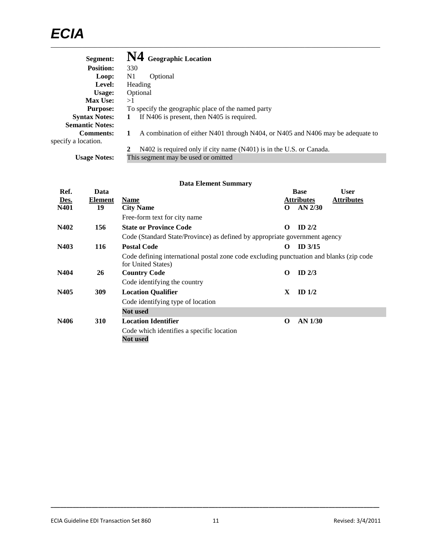## *ECIA* \_\_\_\_\_\_\_\_\_\_\_\_\_\_\_\_\_\_\_\_\_\_\_\_\_\_\_\_\_\_\_\_\_\_\_\_\_\_\_\_\_\_\_\_\_\_\_\_\_\_\_\_\_\_\_\_\_\_\_\_\_\_\_\_\_\_\_\_\_\_\_\_\_\_\_\_\_\_\_\_\_\_\_\_\_\_\_\_\_\_\_\_\_\_\_\_\_\_\_\_\_\_\_\_\_

| Segment:               | N4 Geographic Location                                                              |
|------------------------|-------------------------------------------------------------------------------------|
| <b>Position:</b>       | 330                                                                                 |
| Loop:                  | N1<br>Optional                                                                      |
| Level:                 | Heading                                                                             |
| Usage:                 | Optional                                                                            |
| <b>Max Use:</b>        | >1                                                                                  |
| <b>Purpose:</b>        | To specify the geographic place of the named party                                  |
| <b>Syntax Notes:</b>   | If N406 is present, then N405 is required.<br>1                                     |
| <b>Semantic Notes:</b> |                                                                                     |
| <b>Comments:</b>       | A combination of either N401 through N404, or N405 and N406 may be adequate to<br>1 |
| specify a location.    |                                                                                     |
|                        | N402 is required only if city name (N401) is in the U.S. or Canada.                 |
| <b>Usage Notes:</b>    | This segment may be used or omitted                                                 |

| <b>Data Element Summary</b> |            |                                                                                                               |          |                   |                   |
|-----------------------------|------------|---------------------------------------------------------------------------------------------------------------|----------|-------------------|-------------------|
| Ref.                        | Data       |                                                                                                               |          | <b>Base</b>       | <b>User</b>       |
| Des.                        | Element    | <b>Name</b>                                                                                                   |          | <b>Attributes</b> | <b>Attributes</b> |
| N401                        | 19         | <b>City Name</b>                                                                                              | $\Omega$ | $AN$ 2/30         |                   |
|                             |            | Free-form text for city name                                                                                  |          |                   |                   |
| N402                        | 156        | <b>State or Province Code</b>                                                                                 | $\Omega$ | ID $2/2$          |                   |
|                             |            | Code (Standard State/Province) as defined by appropriate government agency                                    |          |                   |                   |
| N403                        | 116        | <b>Postal Code</b>                                                                                            | $\Omega$ | $ID$ 3/15         |                   |
|                             |            | Code defining international postal zone code excluding punctuation and blanks (zip code<br>for United States) |          |                   |                   |
| N404                        | 26         | <b>Country Code</b>                                                                                           | $\Omega$ | ID $2/3$          |                   |
|                             |            | Code identifying the country                                                                                  |          |                   |                   |
| N405                        | 309        | <b>Location Qualifier</b>                                                                                     | X        | ID $1/2$          |                   |
|                             |            | Code identifying type of location                                                                             |          |                   |                   |
|                             |            | <b>Not</b> used                                                                                               |          |                   |                   |
| N406                        | <b>310</b> | <b>Location Identifier</b>                                                                                    | $\Omega$ | AN 1/30           |                   |
|                             |            | Code which identifies a specific location<br><b>Not</b> used                                                  |          |                   |                   |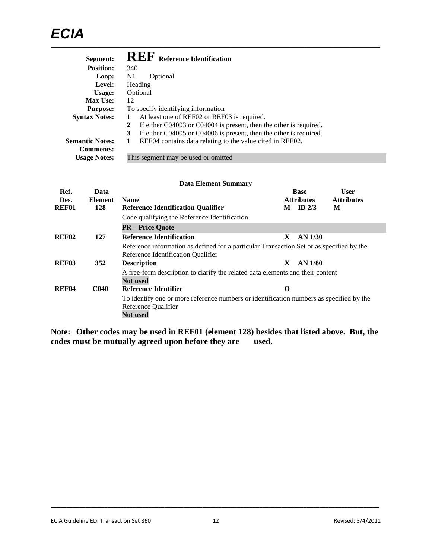| Segment:               | <b>REF</b> Reference Identification                                     |
|------------------------|-------------------------------------------------------------------------|
| <b>Position:</b>       | 340                                                                     |
| Loop:                  | N1<br>Optional                                                          |
| Level:                 | Heading                                                                 |
| Usage:                 | Optional                                                                |
| <b>Max Use:</b>        | 12                                                                      |
| <b>Purpose:</b>        | To specify identifying information                                      |
| <b>Syntax Notes:</b>   | At least one of REF02 or REF03 is required.<br>1                        |
|                        | If either C04003 or C04004 is present, then the other is required.<br>2 |
|                        | If either C04005 or C04006 is present, then the other is required.<br>3 |
| <b>Semantic Notes:</b> | REF04 contains data relating to the value cited in REF02.<br>1          |
| <b>Comments:</b>       |                                                                         |
| <b>Usage Notes:</b>    | This segment may be used or omitted                                     |

#### **Data Element Summary**

| Ref.              | Data             |                                                                                                                                   |    | <b>Base</b>       | <b>User</b>       |
|-------------------|------------------|-----------------------------------------------------------------------------------------------------------------------------------|----|-------------------|-------------------|
| Des.              | <b>Element</b>   | <b>Name</b>                                                                                                                       |    | <b>Attributes</b> | <b>Attributes</b> |
| <b>REF01</b>      | 128              | <b>Reference Identification Qualifier</b>                                                                                         | М  | ID $2/3$          | М                 |
|                   |                  | Code qualifying the Reference Identification                                                                                      |    |                   |                   |
|                   |                  | <b>PR</b> – Price Quote                                                                                                           |    |                   |                   |
| <b>REF02</b>      | 127              | <b>Reference Identification</b>                                                                                                   | X. | $AN$ 1/30         |                   |
|                   |                  | Reference information as defined for a particular Transaction Set or as specified by the<br>Reference Identification Qualifier    |    |                   |                   |
| REF <sub>03</sub> | 352              | <b>Description</b>                                                                                                                | X  | AN 1/80           |                   |
|                   |                  | A free-form description to clarify the related data elements and their content<br>Not used                                        |    |                   |                   |
| REF <sub>04</sub> | C <sub>040</sub> | Reference Identifier                                                                                                              | O  |                   |                   |
|                   |                  | To identify one or more reference numbers or identification numbers as specified by the<br>Reference Qualifier<br><b>Not used</b> |    |                   |                   |

**Note: Other codes may be used in REF01 (element 128) besides that listed above. But, the codes must be mutually agreed upon before they are used.**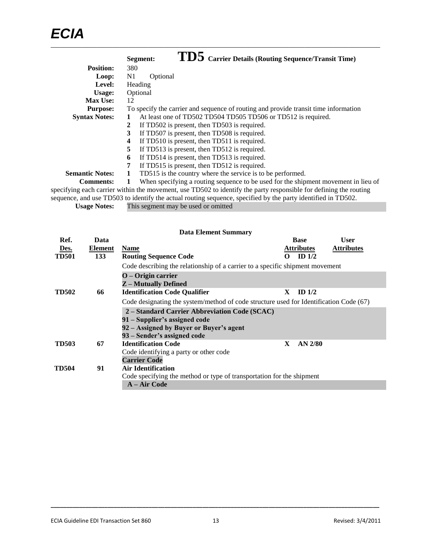|                        | TD5 Carrier Details (Routing Sequence/Transit Time)<br>Segment:                                                   |
|------------------------|-------------------------------------------------------------------------------------------------------------------|
| <b>Position:</b>       | 380                                                                                                               |
| Loop:                  | N1<br>Optional                                                                                                    |
| Level:                 | Heading                                                                                                           |
| Usage:                 | Optional                                                                                                          |
| <b>Max Use:</b>        | 12                                                                                                                |
| <b>Purpose:</b>        | To specify the carrier and sequence of routing and provide transit time information                               |
| <b>Syntax Notes:</b>   | At least one of TD502 TD504 TD505 TD506 or TD512 is required.<br>1                                                |
|                        | If TD502 is present, then TD503 is required.<br>$\mathbf{2}$                                                      |
|                        | 3<br>If TD507 is present, then TD508 is required.                                                                 |
|                        | If TD510 is present, then TD511 is required.<br>4                                                                 |
|                        | 5<br>If TD513 is present, then TD512 is required.                                                                 |
|                        | If TD514 is present, then TD513 is required.<br>6                                                                 |
|                        | 7<br>If TD515 is present, then TD512 is required.                                                                 |
| <b>Semantic Notes:</b> | TD515 is the country where the service is to be performed.<br>1                                                   |
| <b>Comments:</b>       | When specifying a routing sequence to be used for the shipment movement in lieu of<br>1                           |
|                        | specifying each carrier within the movement, use TD502 to identify the party responsible for defining the routing |
|                        | sequence, and use TD503 to identify the actual routing sequence, specified by the party identified in TD502.      |

**Usage Notes:** This segment may be used or omitted

|              |         | <b>Data Element Summary</b>                                                            |              |                   |                   |  |
|--------------|---------|----------------------------------------------------------------------------------------|--------------|-------------------|-------------------|--|
| Ref.         | Data    |                                                                                        |              | <b>Base</b>       | <b>User</b>       |  |
| Des.         | Element | <b>Name</b>                                                                            |              | <u>Attributes</u> | <b>Attributes</b> |  |
| <b>TD501</b> | 133     | <b>Routing Sequence Code</b>                                                           | O            | ID $1/2$          |                   |  |
|              |         | Code describing the relationship of a carrier to a specific shipment movement          |              |                   |                   |  |
|              |         | $O -$ Origin carrier<br><b>Z</b> – Mutually Defined                                    |              |                   |                   |  |
| <b>TD502</b> | 66      | <b>Identification Code Qualifier</b>                                                   | X.           | ID <sub>1/2</sub> |                   |  |
|              |         | Code designating the system/method of code structure used for Identification Code (67) |              |                   |                   |  |
|              |         | 2 – Standard Carrier Abbreviation Code (SCAC)                                          |              |                   |                   |  |
|              |         | 91 – Supplier's assigned code                                                          |              |                   |                   |  |
|              |         | 92 – Assigned by Buyer or Buyer's agent                                                |              |                   |                   |  |
|              |         | 93 – Sender's assigned code                                                            |              |                   |                   |  |
| <b>TD503</b> | 67      | <b>Identification Code</b>                                                             | $\mathbf{X}$ | $AN$ 2/80         |                   |  |
|              |         | Code identifying a party or other code                                                 |              |                   |                   |  |
|              |         | <b>Carrier Code</b>                                                                    |              |                   |                   |  |
| <b>TD504</b> | 91      | Air Identification                                                                     |              |                   |                   |  |
|              |         | Code specifying the method or type of transportation for the shipment                  |              |                   |                   |  |
|              |         | A – Air Code                                                                           |              |                   |                   |  |
|              |         |                                                                                        |              |                   |                   |  |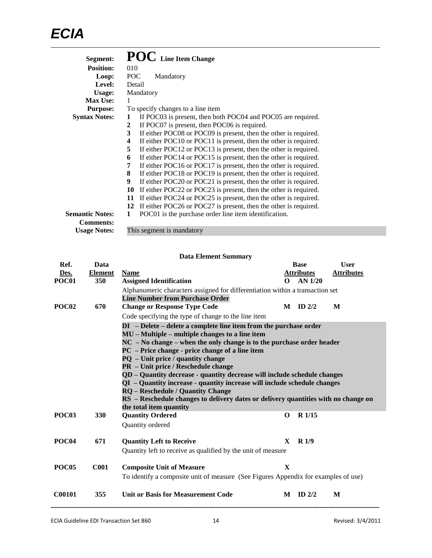| Segment:               | POC Line Item Change                                                   |
|------------------------|------------------------------------------------------------------------|
| <b>Position:</b>       | 010                                                                    |
| Loop:                  | POC<br>Mandatory                                                       |
| Level:                 | Detail                                                                 |
| Usage:                 | Mandatory                                                              |
| Max Use:               | 1                                                                      |
| <b>Purpose:</b>        | To specify changes to a line item                                      |
| <b>Syntax Notes:</b>   | If POC03 is present, then both POC04 and POC05 are required.<br>1      |
|                        | If POC07 is present, then POC06 is required.<br>2                      |
|                        | If either POC08 or POC09 is present, then the other is required.<br>3  |
|                        | If either POC10 or POC11 is present, then the other is required.<br>4  |
|                        | If either POC12 or POC13 is present, then the other is required.<br>5  |
|                        | If either POC14 or POC15 is present, then the other is required.<br>6  |
|                        | If either POC16 or POC17 is present, then the other is required.<br>7  |
|                        | If either POC18 or POC19 is present, then the other is required.<br>8  |
|                        | If either POC20 or POC21 is present, then the other is required.<br>9  |
|                        | If either POC22 or POC23 is present, then the other is required.<br>10 |
|                        | If either POC24 or POC25 is present, then the other is required.<br>11 |
|                        | If either POC26 or POC27 is present, then the other is required.<br>12 |
| <b>Semantic Notes:</b> | POC01 is the purchase order line item identification.<br>1             |
| <b>Comments:</b>       |                                                                        |
| <b>Usage Notes:</b>    | This segment is mandatory                                              |

|                   |                | <b>Data Element Summary</b>                                                                                                  |              |                   |                   |  |  |
|-------------------|----------------|------------------------------------------------------------------------------------------------------------------------------|--------------|-------------------|-------------------|--|--|
| Ref.              | Data           |                                                                                                                              |              | <b>Base</b>       | <b>User</b>       |  |  |
| Des.              | <b>Element</b> | <b>Name</b>                                                                                                                  |              | <b>Attributes</b> | <b>Attributes</b> |  |  |
| POC01             | 350            | <b>Assigned Identification</b>                                                                                               | 0            | $AN$ 1/20         |                   |  |  |
|                   |                | Alphanumeric characters assigned for differentiation within a transaction set                                                |              |                   |                   |  |  |
| POC <sub>02</sub> | 670            | <b>Line Number from Purchase Order</b>                                                                                       | M            | ID $2/2$          | M                 |  |  |
|                   |                | <b>Change or Response Type Code</b>                                                                                          |              |                   |                   |  |  |
|                   |                | Code specifying the type of change to the line item                                                                          |              |                   |                   |  |  |
|                   |                | $DI$ - Delete - delete a complete line item from the purchase order                                                          |              |                   |                   |  |  |
|                   |                | $MU - Multiple - multiple changes to a line item$<br>$NC$ – No change – when the only change is to the purchase order header |              |                   |                   |  |  |
|                   |                | PC – Price change - price change of a line item                                                                              |              |                   |                   |  |  |
|                   |                | $PQ - Unit price / quantity change$                                                                                          |              |                   |                   |  |  |
|                   |                | <b>PR</b> – Unit price / Reschedule change                                                                                   |              |                   |                   |  |  |
|                   |                | QD - Quantity decrease - quantity decrease will include schedule changes                                                     |              |                   |                   |  |  |
|                   |                | QI - Quantity increase - quantity increase will include schedule changes                                                     |              |                   |                   |  |  |
|                   |                | <b>RQ</b> – Reschedule / Quantity Change                                                                                     |              |                   |                   |  |  |
|                   |                | RS – Reschedule changes to delivery dates or delivery quantities with no change on                                           |              |                   |                   |  |  |
| <b>POC03</b>      |                | the total item quantity                                                                                                      |              | R 1/15            |                   |  |  |
|                   | 330            | <b>Quantity Ordered</b>                                                                                                      | $\Omega$     |                   |                   |  |  |
|                   |                | Quantity ordered                                                                                                             |              |                   |                   |  |  |
| <b>POC04</b>      | 671            | <b>Quantity Left to Receive</b>                                                                                              | X            | R1/9              |                   |  |  |
|                   |                | Quantity left to receive as qualified by the unit of measure                                                                 |              |                   |                   |  |  |
|                   |                |                                                                                                                              |              |                   |                   |  |  |
| POC <sub>05</sub> | <b>C001</b>    | <b>Composite Unit of Measure</b>                                                                                             | $\mathbf{x}$ |                   |                   |  |  |
|                   |                | To identify a composite unit of measure (See Figures Appendix for examples of use)                                           |              |                   |                   |  |  |
| C00101            | 355            | Unit or Basis for Measurement Code                                                                                           | M            | $ID$ 2/2          | M                 |  |  |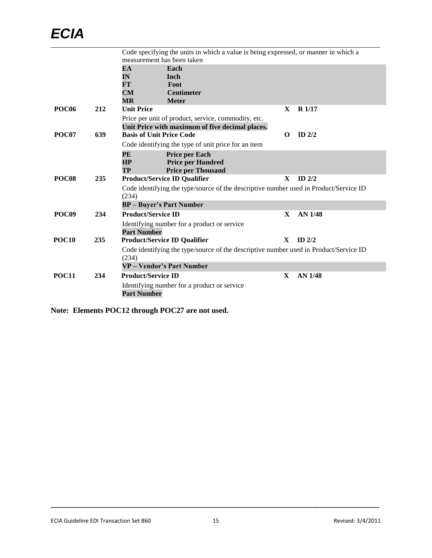|                   |     | Code specifying the units in which a value is being expressed, or manner in which a            |          |                   |
|-------------------|-----|------------------------------------------------------------------------------------------------|----------|-------------------|
|                   |     | measurement has been taken                                                                     |          |                   |
|                   |     | EA<br>Each                                                                                     |          |                   |
|                   |     | IN<br>Inch                                                                                     |          |                   |
|                   |     | FT<br>Foot                                                                                     |          |                   |
|                   |     | CM<br><b>Centimeter</b><br>$\overline{\textsf{MR}}$<br><b>Meter</b>                            |          |                   |
| POC <sub>06</sub> | 212 | <b>Unit Price</b>                                                                              | X        | R <sub>1/17</sub> |
|                   |     | Price per unit of product, service, commodity, etc.                                            |          |                   |
|                   |     | Unit Price with maximum of five decimal places.                                                |          |                   |
| POC07             | 639 | <b>Basis of Unit Price Code</b>                                                                | $\Omega$ | $ID$ $2/2$        |
|                   |     | Code identifying the type of unit price for an item                                            |          |                   |
|                   |     | <b>Price per Each</b><br>PE                                                                    |          |                   |
|                   |     | HP<br><b>Price per Hundred</b>                                                                 |          |                   |
|                   |     | <b>Price per Thousand</b><br>TP                                                                |          |                   |
| POC <sub>08</sub> | 235 | <b>Product/Service ID Qualifier</b>                                                            | X        | $ID$ 2/2          |
|                   |     | Code identifying the type/source of the descriptive number used in Product/Service ID<br>(234) |          |                   |
|                   |     | <b>BP</b> – Buyer's Part Number                                                                |          |                   |
| POC <sub>09</sub> | 234 | <b>Product/Service ID</b>                                                                      | X        | AN 1/48           |
|                   |     | Identifying number for a product or service                                                    |          |                   |
|                   |     | <b>Part Number</b>                                                                             |          |                   |
| POC <sub>10</sub> | 235 | <b>Product/Service ID Qualifier</b>                                                            | X        | $ID$ 2/2          |
|                   |     | Code identifying the type/source of the descriptive number used in Product/Service ID          |          |                   |
|                   |     | (234)                                                                                          |          |                   |
|                   |     | <b>VP</b> – Vendor's Part Number                                                               |          |                   |
| <b>POC11</b>      | 234 | <b>Product/Service ID</b>                                                                      | X        | <b>AN 1/48</b>    |
|                   |     | Identifying number for a product or service<br><b>Part Number</b>                              |          |                   |

**Note: Elements POC12 through POC27 are not used.**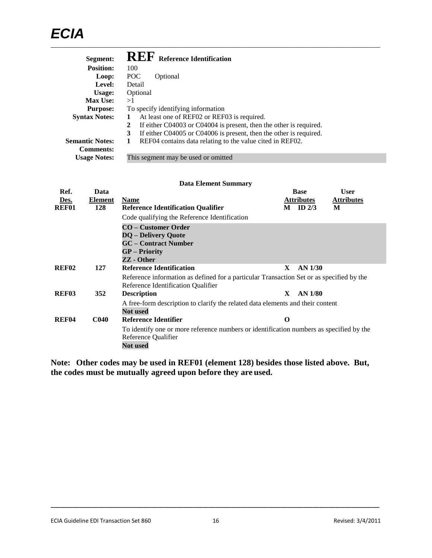| Segment:               | <b>REF</b> Reference Identification                                     |
|------------------------|-------------------------------------------------------------------------|
| <b>Position:</b>       | 100                                                                     |
| Loop:                  | POC<br>Optional                                                         |
| Level:                 | Detail                                                                  |
| Usage:                 | Optional                                                                |
| <b>Max Use:</b>        | >1                                                                      |
| <b>Purpose:</b>        | To specify identifying information                                      |
| <b>Syntax Notes:</b>   | At least one of REF02 or REF03 is required.<br>1                        |
|                        | If either C04003 or C04004 is present, then the other is required.<br>2 |
|                        | If either C04005 or C04006 is present, then the other is required.<br>3 |
| <b>Semantic Notes:</b> | REF04 contains data relating to the value cited in REF02.<br>1          |
| <b>Comments:</b>       |                                                                         |
| <b>Usage Notes:</b>    | This segment may be used or omitted                                     |

#### **Data Element Summary**

| Ref.              | Data             |                                                                                                                                   |   | <b>Base</b>       | <b>User</b>       |
|-------------------|------------------|-----------------------------------------------------------------------------------------------------------------------------------|---|-------------------|-------------------|
| Des.              | <b>Element</b>   | <b>Name</b>                                                                                                                       |   | <b>Attributes</b> | <b>Attributes</b> |
| REF01             | 128              | <b>Reference Identification Qualifier</b>                                                                                         | M | ID $2/3$          | M                 |
|                   |                  | Code qualifying the Reference Identification                                                                                      |   |                   |                   |
|                   |                  | CO – Customer Order                                                                                                               |   |                   |                   |
|                   |                  | <b>DQ</b> – Delivery Quote                                                                                                        |   |                   |                   |
|                   |                  | <b>GC</b> – Contract Number                                                                                                       |   |                   |                   |
|                   |                  | <b>GP</b> – Priority                                                                                                              |   |                   |                   |
|                   |                  | ZZ - Other                                                                                                                        |   |                   |                   |
| <b>REF02</b>      | 127              | <b>Reference Identification</b>                                                                                                   | X | AN 1/30           |                   |
|                   |                  | Reference information as defined for a particular Transaction Set or as specified by the<br>Reference Identification Qualifier    |   |                   |                   |
| REF <sub>03</sub> | 352              | <b>Description</b>                                                                                                                | X | AN 1/80           |                   |
|                   |                  | A free-form description to clarify the related data elements and their content<br><b>Not</b> used                                 |   |                   |                   |
| <b>REF04</b>      | C <sub>040</sub> | Reference Identifier                                                                                                              | O |                   |                   |
|                   |                  | To identify one or more reference numbers or identification numbers as specified by the<br>Reference Qualifier<br><b>Not used</b> |   |                   |                   |

**Note: Other codes may be used in REF01 (element 128) besides those listed above. But, the codes must be mutually agreed upon before they are used.**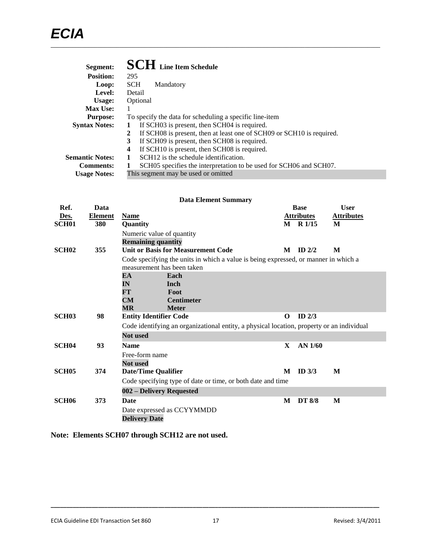| Segment:               | <b>SCH</b> Line Item Schedule                                              |
|------------------------|----------------------------------------------------------------------------|
| <b>Position:</b>       | 295                                                                        |
| Loop:                  | <b>SCH</b><br>Mandatory                                                    |
| Level:                 | Detail                                                                     |
| Usage:                 | Optional                                                                   |
| <b>Max Use:</b>        |                                                                            |
| <b>Purpose:</b>        | To specify the data for scheduling a specific line-item                    |
| <b>Syntax Notes:</b>   | If SCH03 is present, then SCH04 is required.<br>1                          |
|                        | If SCH08 is present, then at least one of SCH09 or SCH10 is required.<br>2 |
|                        | If SCH09 is present, then SCH08 is required.<br>3                          |
|                        | If SCH10 is present, then SCH08 is required.<br>4                          |
| <b>Semantic Notes:</b> | SCH <sub>12</sub> is the schedule identification.                          |
| <b>Comments:</b>       | SCH05 specifies the interpretation to be used for SCH06 and SCH07.         |
| <b>Usage Notes:</b>    | This segment may be used or omitted                                        |

| <b>Data Element Summary</b> |                        |                                                                                           |                                                                                                                   |              |                                  |                                  |  |
|-----------------------------|------------------------|-------------------------------------------------------------------------------------------|-------------------------------------------------------------------------------------------------------------------|--------------|----------------------------------|----------------------------------|--|
| Ref.<br>Des.                | Data<br><b>Element</b> | <b>Name</b>                                                                               |                                                                                                                   |              | <b>Base</b><br><b>Attributes</b> | <b>User</b><br><b>Attributes</b> |  |
| <b>SCH01</b>                | 380                    | Quantity                                                                                  |                                                                                                                   |              | M R 1/15                         | M                                |  |
|                             |                        | Numeric value of quantity<br><b>Remaining quantity</b>                                    |                                                                                                                   |              |                                  |                                  |  |
| <b>SCH02</b>                | 355                    |                                                                                           | <b>Unit or Basis for Measurement Code</b>                                                                         | M            | ID $2/2$                         | M                                |  |
|                             |                        |                                                                                           | Code specifying the units in which a value is being expressed, or manner in which a<br>measurement has been taken |              |                                  |                                  |  |
|                             |                        | EA                                                                                        | Each                                                                                                              |              |                                  |                                  |  |
|                             |                        | IN                                                                                        | Inch                                                                                                              |              |                                  |                                  |  |
|                             |                        | FT                                                                                        | Foot                                                                                                              |              |                                  |                                  |  |
|                             |                        | CM                                                                                        | <b>Centimeter</b>                                                                                                 |              |                                  |                                  |  |
| <b>SCH03</b>                | 98                     | МR<br><b>Entity Identifier Code</b>                                                       | <b>Meter</b>                                                                                                      | $\Omega$     | ID $2/3$                         |                                  |  |
|                             |                        |                                                                                           |                                                                                                                   |              |                                  |                                  |  |
|                             |                        | Code identifying an organizational entity, a physical location, property or an individual |                                                                                                                   |              |                                  |                                  |  |
|                             |                        | <b>Not used</b>                                                                           |                                                                                                                   |              |                                  |                                  |  |
| SCH <sub>04</sub>           | 93                     | <b>Name</b>                                                                               |                                                                                                                   | $\mathbf{X}$ | $AN$ 1/60                        |                                  |  |
|                             |                        | Free-form name                                                                            |                                                                                                                   |              |                                  |                                  |  |
|                             |                        | <b>Not</b> used                                                                           |                                                                                                                   |              |                                  |                                  |  |
| SCH <sub>05</sub>           | 374                    | <b>Date/Time Qualifier</b>                                                                |                                                                                                                   | M            | ID <sub>3/3</sub>                | M                                |  |
|                             |                        |                                                                                           | Code specifying type of date or time, or both date and time                                                       |              |                                  |                                  |  |
|                             |                        | 002 – Delivery Requested                                                                  |                                                                                                                   |              |                                  |                                  |  |
| <b>SCH06</b>                | 373                    | <b>Date</b>                                                                               |                                                                                                                   | M            | <b>DT 8/8</b>                    | M                                |  |
|                             |                        |                                                                                           | Date expressed as CCYYMMDD                                                                                        |              |                                  |                                  |  |
|                             |                        | <b>Delivery Date</b>                                                                      |                                                                                                                   |              |                                  |                                  |  |

**Note: Elements SCH07 through SCH12 are not used.**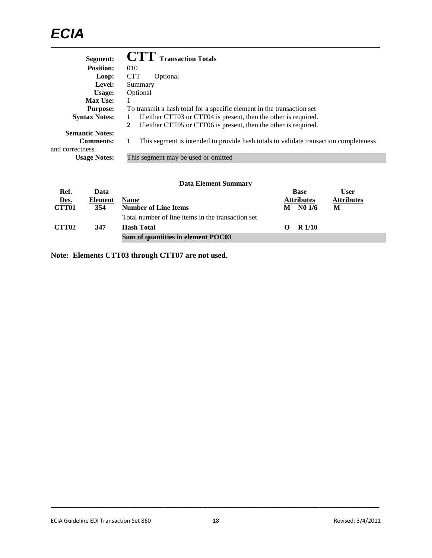| Segment:                                                       | <b>CTT</b> Transaction Totals                                                        |
|----------------------------------------------------------------|--------------------------------------------------------------------------------------|
| <b>Position:</b>                                               | 010                                                                                  |
| Loop:                                                          | <b>CTT</b><br>Optional                                                               |
| Level:                                                         | Summary                                                                              |
| Usage:                                                         | Optional                                                                             |
| <b>Max Use:</b>                                                |                                                                                      |
| <b>Purpose:</b>                                                | To transmit a hash total for a specific element in the transaction set               |
| <b>Syntax Notes:</b>                                           | If either CTT03 or CTT04 is present, then the other is required.                     |
|                                                                | If either CTT05 or CTT06 is present, then the other is required.<br>$\mathbf{2}$     |
| <b>Semantic Notes:</b><br><b>Comments:</b><br>and correctness. | This segment is intended to provide hash totals to validate transaction completeness |
| <b>Usage Notes:</b>                                            | This segment may be used or omitted                                                  |

| <b>Data Element Summary</b> |  |
|-----------------------------|--|
|-----------------------------|--|

| Ref.              | Data    |                                                   |          | <b>Base</b>        | User              |
|-------------------|---------|---------------------------------------------------|----------|--------------------|-------------------|
| Des.              | Element | <b>Name</b>                                       |          | <b>Attributes</b>  | <b>Attributes</b> |
| <b>CTT01</b>      | 354     | <b>Number of Line Items</b>                       | М        | N <sub>0</sub> 1/6 | M                 |
|                   |         | Total number of line items in the transaction set |          |                    |                   |
| CTT <sub>02</sub> | 347     | <b>Hash Total</b>                                 | $\Omega$ | R 1/10             |                   |
|                   |         | Sum of quantities in element POC03                |          |                    |                   |

**Note: Elements CTT03 through CTT07 are not used.**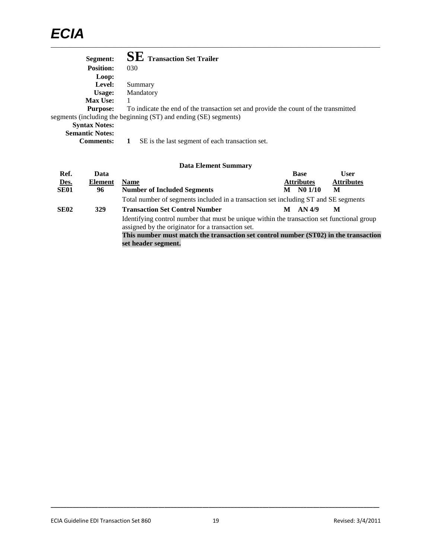| Segment:               | <b>SE</b> Transaction Set Trailer                                                   |
|------------------------|-------------------------------------------------------------------------------------|
| <b>Position:</b>       | 030                                                                                 |
| Loop:                  |                                                                                     |
| <b>Level:</b>          | Summary                                                                             |
| Usage:                 | Mandatory                                                                           |
| <b>Max Use:</b>        |                                                                                     |
| <b>Purpose:</b>        | To indicate the end of the transaction set and provide the count of the transmitted |
|                        | segments (including the beginning (ST) and ending (SE) segments)                    |
| <b>Syntax Notes:</b>   |                                                                                     |
| <b>Semantic Notes:</b> |                                                                                     |
| <b>Comments:</b>       | SE is the last segment of each transaction set.                                     |

|             |                | <b>Data Element Summary</b>                                                                                                                     |   |                   |                   |
|-------------|----------------|-------------------------------------------------------------------------------------------------------------------------------------------------|---|-------------------|-------------------|
| Ref.        | Data           |                                                                                                                                                 |   | <b>Base</b>       | <b>User</b>       |
| Des.        | <b>Element</b> | <b>Name</b>                                                                                                                                     |   | <b>Attributes</b> | <b>Attributes</b> |
| <b>SE01</b> | 96             | <b>Number of Included Segments</b>                                                                                                              | м | N01/10            | M                 |
|             |                | Total number of segments included in a transaction set including ST and SE segments                                                             |   |                   |                   |
| <b>SE02</b> | 329            | <b>Transaction Set Control Number</b>                                                                                                           | М | AN 4/9            | M                 |
|             |                | Identifying control number that must be unique within the transaction set functional group<br>assigned by the originator for a transaction set. |   |                   |                   |
|             |                | This number must match the transaction set control number (ST02) in the transaction                                                             |   |                   |                   |
|             |                | set header segment.                                                                                                                             |   |                   |                   |